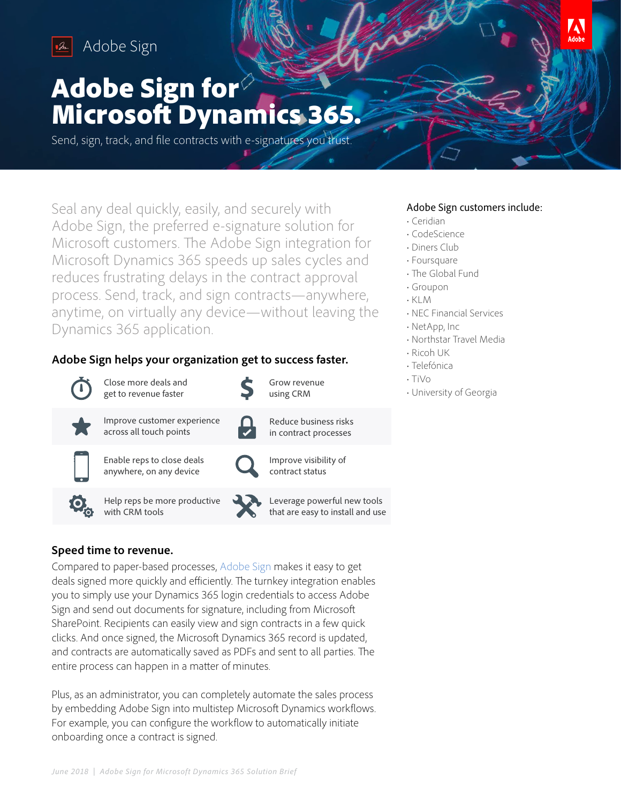

Adobe Sign Adobe Sign

# Adobe Sign for Microsoft Dynamics 365.

Send, sign, track, and file contracts with e-signatures you trust.

Seal any deal quickly, easily, and securely with Adobe Sign, the preferred e-signature solution for Microsoft customers. The Adobe Sign integration for Microsoft Dynamics 365 speeds up sales cycles and reduces frustrating delays in the contract approval process. Send, track, and sign contracts—anywhere, anytime, on virtually any device—without leaving the Dynamics 365 application.

## **Adobe Sign helps your organization get to success faster.**

| Close more deals and<br>get to revenue faster          | Grow revenue<br>using CRM                                       |
|--------------------------------------------------------|-----------------------------------------------------------------|
| Improve customer experience<br>across all touch points | Reduce business risks<br>in contract processes                  |
| Enable reps to close deals<br>anywhere, on any device  | Improve visibility of<br>contract status                        |
| Help reps be more productive<br>with CRM tools         | Leverage powerful new tools<br>that are easy to install and use |

## **Speed time to revenue.**

Compared to paper-based processes, [Adobe Sign](https://acrobat.adobe.com/us/en/sign.html) makes it easy to get deals signed more quickly and efficiently. The turnkey integration enables you to simply use your Dynamics 365 login credentials to access Adobe Sign and send out documents for signature, including from Microsoft SharePoint. Recipients can easily view and sign contracts in a few quick clicks. And once signed, the Microsoft Dynamics 365 record is updated, and contracts are automatically saved as PDFs and sent to all parties. The entire process can happen in a matter of minutes.

Plus, as an administrator, you can completely automate the sales process by embedding Adobe Sign into multistep Microsoft Dynamics workflows. For example, you can configure the workflow to automatically initiate onboarding once a contract is signed.

## Adobe Sign customers include:

Δ

- Ceridian
- CodeScience
- Diners Club
- Foursquare
- The Global Fund
- Groupon
- KLM
- NEC Financial Services
- NetApp, Inc
- Northstar Travel Media
- Ricoh UK
- Telefónica
- TiVo
- University of Georgia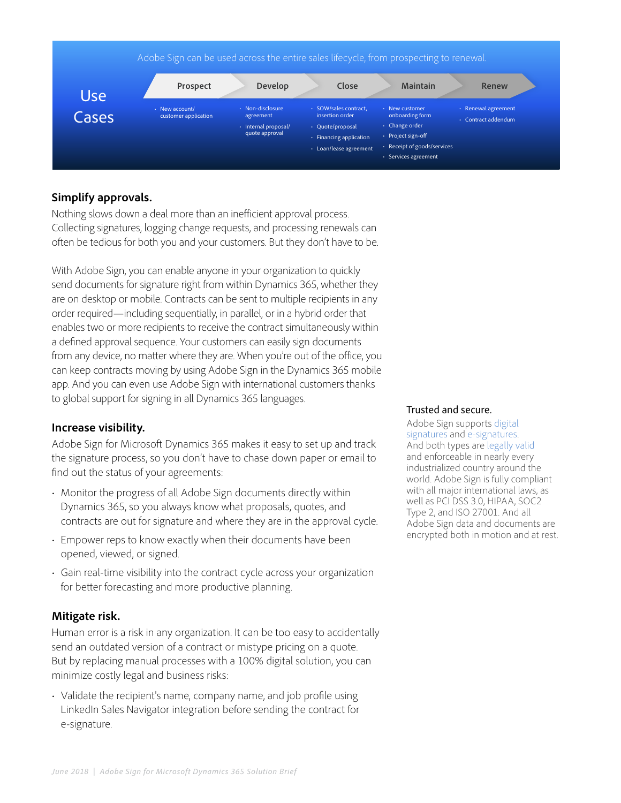

## **Simplify approvals.**

Nothing slows down a deal more than an inefficient approval process. Collecting signatures, logging change requests, and processing renewals can often be tedious for both you and your customers. But they don't have to be.

With Adobe Sign, you can enable anyone in your organization to quickly send documents for signature right from within Dynamics 365, whether they are on desktop or mobile. Contracts can be sent to multiple recipients in any order required—including sequentially, in parallel, or in a hybrid order that enables two or more recipients to receive the contract simultaneously within a defined approval sequence. Your customers can easily sign documents from any device, no matter where they are. When you're out of the office, you can keep contracts moving by using Adobe Sign in the Dynamics 365 mobile app. And you can even use Adobe Sign with international customers thanks to global support for signing in all Dynamics 365 languages.

### **Increase visibility.**

Adobe Sign for Microsoft Dynamics 365 makes it easy to set up and track the signature process, so you don't have to chase down paper or email to find out the status of your agreements:

- Monitor the progress of all Adobe Sign documents directly within Dynamics 365, so you always know what proposals, quotes, and contracts are out for signature and where they are in the approval cycle.
- Empower reps to know exactly when their documents have been opened, viewed, or signed.
- Gain real-time visibility into the contract cycle across your organization for better forecasting and more productive planning.

#### **Mitigate risk.**

Human error is a risk in any organization. It can be too easy to accidentally send an outdated version of a contract or mistype pricing on a quote. But by replacing manual processes with a 100% digital solution, you can minimize costly legal and business risks:

• Validate the recipient's name, company name, and job profile using LinkedIn Sales Navigator integration before sending the contract for e-signature.

#### Trusted and secure.

Adobe Sign supports [digital](https://acrobat.adobe.com/us/en/sign/capabilities/digital-signatures-faq.html)  [signatures](https://acrobat.adobe.com/us/en/sign/capabilities/digital-signatures-faq.html) and [e-signatures](https://acrobat.adobe.com/us/en/sign/capabilities/electronic-signatures.html). And both types are [legally valid](https://acrobat.adobe.com/us/en/sign/capabilities/electronic-signature-legality.html) and enforceable in nearly every industrialized country around the world. Adobe Sign is fully compliant with all major international laws, as well as PCI DSS 3.0, HIPAA, SOC2 Type 2, and ISO 27001. And all Adobe Sign data and documents are encrypted both in motion and at rest.